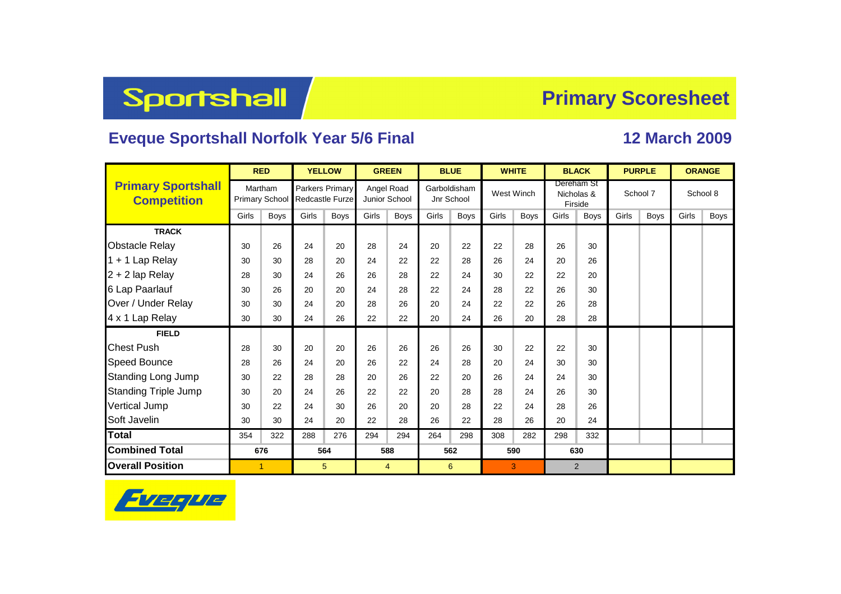## Sportshall

## **Primary Scoresheet**

## **Eveque Sportshall Norfolk Year 5/6 Final 12 March 2009**

|                                                 |       | <b>RED</b>                |                                           | <b>YELLOW</b> |                             | <b>GREEN</b> |       | <b>BLUE</b>                | <b>WHITE</b> |             |       | <b>BLACK</b>                        |          | <b>PURPLE</b> | <b>ORANGE</b> |             |  |
|-------------------------------------------------|-------|---------------------------|-------------------------------------------|---------------|-----------------------------|--------------|-------|----------------------------|--------------|-------------|-------|-------------------------------------|----------|---------------|---------------|-------------|--|
| <b>Primary Sportshall</b><br><b>Competition</b> |       | Martham<br>Primary School | Parkers Primary<br><b>Redcastle Furze</b> |               | Angel Road<br>Junior School |              |       | Garboldisham<br>Jnr School | West Winch   |             |       | Dereham St<br>Nicholas &<br>Firside | School 7 |               | School 8      |             |  |
|                                                 | Girls | <b>Boys</b>               | Girls                                     | <b>Boys</b>   | Girls                       | <b>Boys</b>  | Girls | <b>Boys</b>                | Girls        | <b>Boys</b> | Girls | Boys                                | Girls    | Boys          | Girls         | <b>Boys</b> |  |
| <b>TRACK</b>                                    |       |                           |                                           |               |                             |              |       |                            |              |             |       |                                     |          |               |               |             |  |
| <b>Obstacle Relay</b>                           | 30    | 26                        | 24                                        | 20            | 28                          | 24           | 20    | 22                         | 22           | 28          | 26    | 30                                  |          |               |               |             |  |
| 1 + 1 Lap Relay                                 | 30    | 30                        | 28                                        | 20            | 24                          | 22           | 22    | 28                         | 26           | 24          | 20    | 26                                  |          |               |               |             |  |
| $2 + 2$ lap Relay                               | 28    | 30                        | 24                                        | 26            | 26                          | 28           | 22    | 24                         | 30           | 22          | 22    | 20                                  |          |               |               |             |  |
| 6 Lap Paarlauf                                  | 30    | 26                        | 20                                        | 20            | 24                          | 28           | 22    | 24                         | 28           | 22          | 26    | 30                                  |          |               |               |             |  |
| Over / Under Relay                              | 30    | 30                        | 24                                        | 20            | 28                          | 26           | 20    | 24                         | 22           | 22          | 26    | 28                                  |          |               |               |             |  |
| 4 x 1 Lap Relay                                 | 30    | 30                        | 24                                        | 26            | 22                          | 22           | 20    | 24                         | 26           | 20          | 28    | 28                                  |          |               |               |             |  |
| <b>FIELD</b>                                    |       |                           |                                           |               |                             |              |       |                            |              |             |       |                                     |          |               |               |             |  |
| <b>Chest Push</b>                               | 28    | 30                        | 20                                        | 20            | 26                          | 26           | 26    | 26                         | 30           | 22          | 22    | 30                                  |          |               |               |             |  |
| <b>Speed Bounce</b>                             | 28    | 26                        | 24                                        | 20            | 26                          | 22           | 24    | 28                         | 20           | 24          | 30    | 30                                  |          |               |               |             |  |
| <b>Standing Long Jump</b>                       | 30    | 22                        | 28                                        | 28            | 20                          | 26           | 22    | 20                         | 26           | 24          | 24    | 30                                  |          |               |               |             |  |
| <b>Standing Triple Jump</b>                     | 30    | 20                        | 24                                        | 26            | 22                          | 22           | 20    | 28                         | 28           | 24          | 26    | 30                                  |          |               |               |             |  |
| <b>Vertical Jump</b>                            | 30    | 22                        | 24                                        | 30            | 26                          | 20           | 20    | 28                         | 22           | 24          | 28    | 26                                  |          |               |               |             |  |
| Soft Javelin                                    | 30    | 30                        | 24                                        | 20            | 22                          | 28           | 26    | 22                         | 28           | 26          | 20    | 24                                  |          |               |               |             |  |
| <b>Total</b>                                    | 354   | 322                       | 288                                       | 276           | 294                         | 294          | 264   | 298                        | 308          | 282         | 298   | 332                                 |          |               |               |             |  |
| <b>Combined Total</b>                           | 676   |                           | 564                                       |               | 588                         |              | 562   |                            | 590          |             |       | 630                                 |          |               |               |             |  |
| <b>Overall Position</b>                         |       | $\blacktriangleleft$      |                                           | 5             | $\overline{4}$              |              |       | 6                          |              | 3           |       | $\overline{2}$                      |          |               |               |             |  |

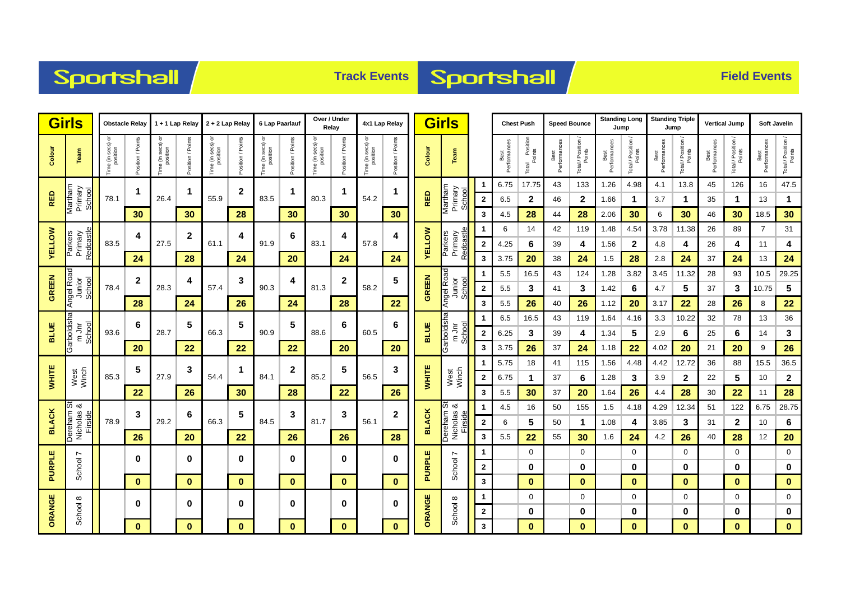



|               | <b>Girls</b>                   | <b>Obstacle Relay</b> |                   | 1 + 1 Lap Relay       |                   | 2 + 2 Lap Relay                          |                         | 6 Lap Paarlauf        |                      | Over / Under<br>Relay                 |                 | 4x1 Lap Relay                     |                   | <b>Girls</b>            |                                     |                         |                      | <b>Chest Push</b>             | <b>Speed Bounce</b>  |                  | <b>Standing Long</b><br>Jump |                              | <b>Standing Triple</b><br>Jump |                            | <b>Vertical Jump</b> |                              | Soft Javelin         |                              |
|---------------|--------------------------------|-----------------------|-------------------|-----------------------|-------------------|------------------------------------------|-------------------------|-----------------------|----------------------|---------------------------------------|-----------------|-----------------------------------|-------------------|-------------------------|-------------------------------------|-------------------------|----------------------|-------------------------------|----------------------|------------------|------------------------------|------------------------------|--------------------------------|----------------------------|----------------------|------------------------------|----------------------|------------------------------|
| Colour        | Team                           | ੋ<br>Time (in secs) o | Position / Points | ō<br>Time (in secs) o | Position / Points | ᅙ<br>e (in secs)<br>position<br>Time (in | osition / Points        | ᅙ<br>Time (in secs) o | Points<br>Position / | ō<br>e (in secs) o<br>position<br>ime | sition / Points | ৯<br>Time (in secs) c<br>position | Position / Points | Colour                  | Team                                |                         | Performances<br>Best | I Position<br>Points<br>Total | Best<br>Performances | Total / Position | Best<br>Performances         | Total / Position .<br>Points | Performance<br>Best            | Total / Position<br>Points | Best<br>Performances | Total / Position /<br>Points | Best<br>Performances | Total / Position /<br>Points |
|               |                                |                       | $\mathbf 1$       |                       | $\mathbf{1}$      |                                          | $\overline{\mathbf{2}}$ |                       | -1                   |                                       | 1               |                                   | 1                 |                         |                                     | -1                      | 6.75                 | 17.75                         | 43                   | 133              | 1.26                         | 4.98                         | 4.1                            | 13.8                       | 45                   | 126                          | 16                   | 47.5                         |
| RED           | Martham<br>Primary<br>School   | 78.1                  |                   | 26.4                  |                   | 55.9                                     |                         | 83.5                  |                      | 80.3                                  |                 | 54.2                              |                   | <b>RED</b>              | Martham<br>Primary<br>School        | $\mathbf{2}$            | 6.5                  | $\mathbf{2}$                  | 46                   | $\mathbf 2$      | 1.66                         | 1                            | 3.7                            | $\mathbf 1$                | 35                   | 1                            | 13                   | $\mathbf 1$                  |
|               |                                |                       | 30                | 30                    |                   | 28                                       |                         | 30                    |                      | 30                                    |                 | 30                                |                   |                         | 3                                   | 4.5                     | 28                   | 44                            | 28                   | 2.06             | 30                           | 6                            | 30                             | 46                         | 30                   | 18.5                         | 30                   |                              |
|               |                                |                       | 4                 |                       | $\boldsymbol{2}$  |                                          | 4                       |                       | 6                    |                                       | 4               |                                   | 4                 |                         |                                     | -1                      | 6                    | 14                            | 42                   | 119              | 1.48                         | 4.54                         | 3.78                           | 11.38                      | 26                   | 89                           | $\overline{7}$       | 31                           |
| <b>AELLOM</b> | Parkers<br>Primary<br>Redcast  | 83.5                  |                   | 27.5                  |                   | 61.1                                     |                         | 91.9                  |                      | 83.1                                  |                 | 57.8                              |                   | <b>AELLOW</b>           | Parkers<br>Primary<br>Redcastle     | $\mathbf 2$             | 4.25                 | 6                             | 39                   | 4                | 1.56                         | $\mathbf{2}$                 | 4.8                            | 4                          | 26                   | 4                            | 11                   | 4                            |
|               |                                |                       | 24                |                       | 28                |                                          | 24                      |                       | 20                   |                                       | 24              |                                   | 24                |                         |                                     | $\mathbf{3}$            | 3.75                 | 20                            | 38                   | 24               | 1.5                          | 28                           | 2.8                            | 24                         | 37                   | 24                           | 13                   | 24                           |
| <b>GREEN</b>  | Angel Road<br>Junior<br>School | 78.4                  | $\mathbf{2}$      | 4                     |                   | 3                                        |                         | 4                     | $\mathbf{2}$         |                                       | 5               |                                   |                   | 1                       | 5.5                                 | 16.5                    | 43                   | 124                           | 1.28                 | 3.82             | 3.45                         | 11.32                        | 28                             | 93                         | 10.5                 | 29.25                        |                      |                              |
|               |                                |                       |                   | 28.3                  |                   | 57.4                                     |                         | 90.3                  |                      | 81.3                                  |                 | 58.2                              |                   | <b>GREEN</b>            | Angel Road<br>Junior<br>School      | $\overline{\mathbf{2}}$ | 5.5                  | 3                             | 41                   | 3                | 1.42                         | 6                            | 4.7                            | 5                          | 37                   | 3                            | 10.75                | $\overline{\mathbf{5}}$      |
|               | $\overline{a}$                 |                       | 28                |                       | 24                |                                          | 26                      |                       | 24                   |                                       | 28              |                                   | 22                |                         |                                     | $\overline{\mathbf{3}}$ | 5.5                  | 26                            | 40                   | 26               | 1.12                         | 20                           | 3.17                           | 22                         | 28                   | 26                           | 8                    | 22                           |
| <b>BLUE</b>   | Garboldis<br>m Jnr<br>School   |                       | 6                 |                       | 5                 |                                          | 5                       |                       | 5                    | 6                                     |                 |                                   | 6                 |                         | Garboldisha                         | 1                       | 6.5                  | 16.5                          | 43                   | 119              | 1.64                         | 4.16                         | 3.3                            | 10.22                      | 32                   | 78                           | 13                   | 36                           |
|               |                                | 93.6                  |                   | 28.7                  | 66.3              |                                          | 90.9                    |                       | 88.6                 |                                       | 60.5            |                                   | <b>BLUE</b>       | m Jnr<br>School         | $\overline{\mathbf{2}}$             | 6.25                    | $\mathbf{3}$         | 39                            | 4                    | 1.34             | 5                            | 2.9                          | 6                              | 25                         | 6                    | 14                           | $\mathbf{3}$         |                              |
|               |                                |                       | 20                |                       | 22                |                                          | 22                      |                       | 22                   |                                       | 20              |                                   | 20                |                         |                                     | 3                       | 3.75                 | 26                            | 37                   | 24               | 1.18                         | 22                           | 4.02                           | 20                         | 21                   | 20                           | 9                    | 26                           |
|               |                                |                       | 5                 |                       | 3                 |                                          | 1                       |                       | $\mathbf{2}$         |                                       | 5               |                                   | 3                 |                         |                                     | -1                      | 5.75                 | 18                            | 41                   | 115              | 1.56                         | 4.48                         | 4.42                           | 12.72                      | 36                   | 88                           | 15.5                 | 36.5                         |
| <b>WHITE</b>  | West<br>Winch                  | 85.3                  |                   | 27.9                  |                   |                                          | 54.4<br>84.1            |                       | 85.2                 | 56.5                                  |                 | WHITE                             | West<br>Winch     | $\overline{\mathbf{2}}$ | 6.75                                | 1                       | 37                   | 6                             | 1.28                 | 3                | 3.9                          | 2                            | 22                             | 5                          | 10                   | $\mathbf{2}$                 |                      |                              |
|               | ဟ် ထ                           |                       | 22                |                       | 26                |                                          | 30                      |                       | 28                   |                                       | 22              |                                   | 26                |                         |                                     | 3                       | 5.5                  | 30                            | 37                   | 20               | 1.64                         | 26                           | 4.4                            | 28                         | 30                   | 22                           | 11                   | 28                           |
| <b>BLACK</b>  |                                | 78.9                  | 3                 | 29.2                  | 6                 |                                          | 5                       | 84.5                  | 3                    | 81.7                                  | 3               | 56.1                              | $\mathbf{2}$      | <b>BLACK</b>            | Dereham St<br>Nicholas &<br>Firside | 1                       | 4.5                  | 16                            | 50                   | 155              | 1.5                          | 4.18                         | 4.29                           | 12.34                      | 51                   | 122                          | 6.75<br>10           | 28.75                        |
|               | Nicholas<br>Firside<br>Dereham |                       | 26                |                       | 20                | 66.3                                     | 22                      |                       | 26                   |                                       | 26              |                                   | 28                |                         |                                     | $\mathbf{2}$<br>3       | 6<br>5.5             | 5<br>22                       | 50<br>55             | 1<br>30          | 1.08<br>1.6                  | 4<br>24                      | 3.85<br>4.2                    | 3<br>26                    | 31<br>40             | $\mathbf{2}$<br>28           | 12                   | $\bf 6$<br>20                |
|               |                                |                       |                   |                       |                   |                                          |                         |                       |                      |                                       |                 |                                   |                   |                         |                                     | -1                      |                      | $\mathbf 0$                   |                      | 0                |                              | $\mathbf 0$                  |                                | $\mathbf 0$                |                      | 0                            |                      | $\pmb{0}$                    |
| <b>PURPLE</b> | $\overline{ }$                 |                       | $\bf{0}$          |                       | 0                 | 0                                        |                         | $\bf{0}$              |                      | 0                                     |                 | 0                                 | <b>PURPLE</b>     | $\overline{ }$          | $\mathbf{2}$                        |                         | 0                    |                               | 0                    |                  | 0                            |                              | 0                              |                            | 0                    |                              | $\mathbf 0$          |                              |
|               | School                         |                       | $\mathbf{0}$      | $\bf{0}$<br>$\bf{0}$  | $\mathbf{0}$      |                                          | $\mathbf{0}$            |                       | $\bf{0}$             |                                       | School          | 3                                 |                   | $\mathbf{0}$            |                                     | $\mathbf{0}$            |                      | $\bf{0}$                      |                      | $\bf{0}$         |                              | $\bf{0}$                     |                                | $\mathbf{0}$               |                      |                              |                      |                              |
| ORANGE        |                                |                       |                   |                       |                   |                                          |                         |                       |                      |                                       |                 |                                   |                   |                         | $\infty$                            | -1                      |                      | 0                             |                      | 0                |                              | $\mathbf 0$                  |                                | 0                          |                      | 0                            |                      | $\pmb{0}$                    |
|               | School 8                       |                       | $\bf{0}$          |                       | 0                 |                                          | 0                       |                       | 0                    |                                       | 0               |                                   | 0                 | ORANGE                  | School                              | $\mathbf{2}$            |                      | 0                             |                      | 0                |                              | 0                            |                                | 0                          |                      | 0                            |                      | $\bf{0}$                     |
|               |                                |                       | $\bf{0}$          |                       | $\bf{0}$          |                                          | $\bf{0}$                |                       | $\bf{0}$             |                                       | 0               |                                   | $\bf{0}$          |                         |                                     | 3                       |                      | $\mathbf{0}$                  |                      | $\mathbf{0}$     |                              | $\bf{0}$                     |                                | $\bf{0}$                   |                      | $\bf{0}$                     |                      | $\mathbf{0}$                 |
|               |                                |                       |                   |                       |                   |                                          |                         |                       |                      |                                       |                 |                                   |                   |                         |                                     |                         |                      |                               |                      |                  |                              |                              |                                |                            |                      |                              |                      |                              |